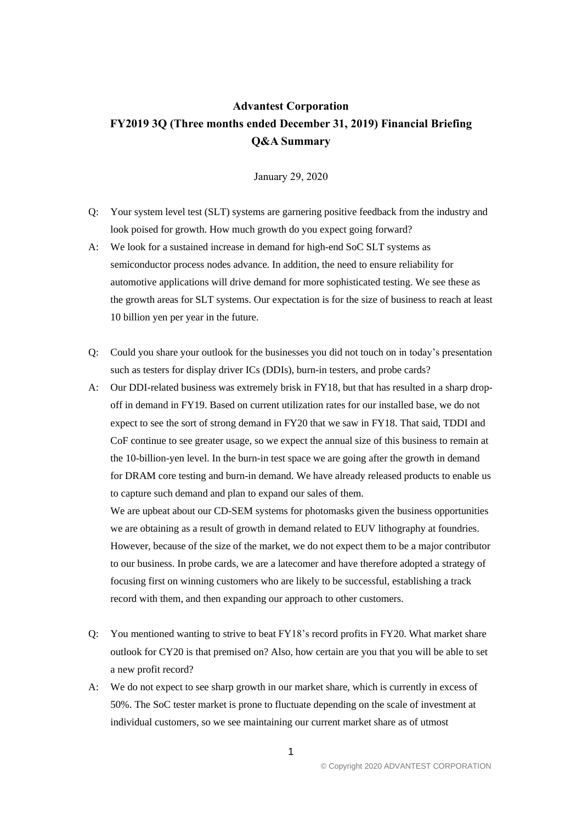## **Advantest Corporation FY2019 3Q (Three months ended December 31, 2019) Financial Briefing Q&A Summary**

January 29, 2020

- Q: Your system level test (SLT) systems are garnering positive feedback from the industry and look poised for growth. How much growth do you expect going forward?
- A: We look for a sustained increase in demand for high-end SoC SLT systems as semiconductor process nodes advance. In addition, the need to ensure reliability for automotive applications will drive demand for more sophisticated testing. We see these as the growth areas for SLT systems. Our expectation is for the size of business to reach at least 10 billion yen per year in the future.
- Q: Could you share your outlook for the businesses you did not touch on in today's presentation such as testers for display driver ICs (DDIs), burn-in testers, and probe cards?
- A: Our DDI-related business was extremely brisk in FY18, but that has resulted in a sharp dropoff in demand in FY19. Based on current utilization rates for our installed base, we do not expect to see the sort of strong demand in FY20 that we saw in FY18. That said, TDDI and CoF continue to see greater usage, so we expect the annual size of this business to remain at the 10-billion-yen level. In the burn-in test space we are going after the growth in demand for DRAM core testing and burn-in demand. We have already released products to enable us to capture such demand and plan to expand our sales of them.

We are upbeat about our CD-SEM systems for photomasks given the business opportunities we are obtaining as a result of growth in demand related to EUV lithography at foundries. However, because of the size of the market, we do not expect them to be a major contributor to our business. In probe cards, we are a latecomer and have therefore adopted a strategy of focusing first on winning customers who are likely to be successful, establishing a track record with them, and then expanding our approach to other customers.

- Q: You mentioned wanting to strive to beat FY18's record profits in FY20. What market share outlook for CY20 is that premised on? Also, how certain are you that you will be able to set a new profit record?
- A: We do not expect to see sharp growth in our market share, which is currently in excess of 50%. The SoC tester market is prone to fluctuate depending on the scale of investment at individual customers, so we see maintaining our current market share as of utmost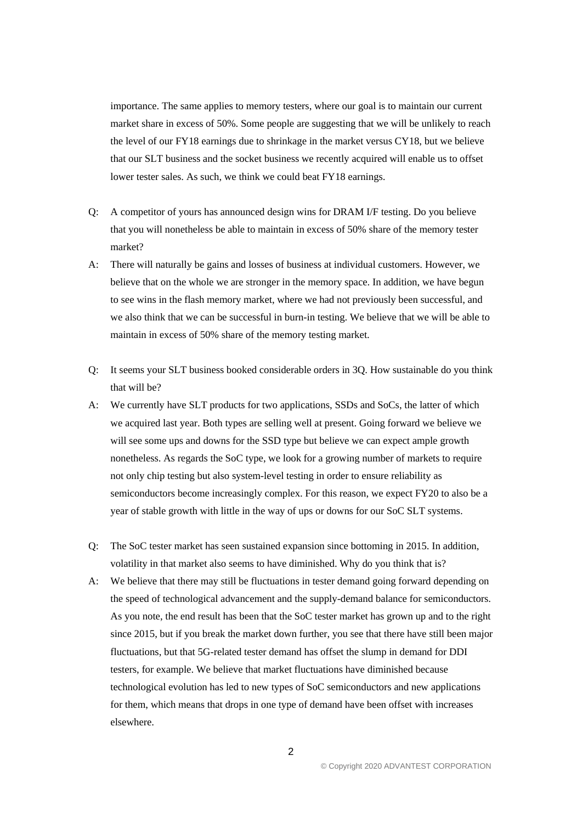importance. The same applies to memory testers, where our goal is to maintain our current market share in excess of 50%. Some people are suggesting that we will be unlikely to reach the level of our FY18 earnings due to shrinkage in the market versus CY18, but we believe that our SLT business and the socket business we recently acquired will enable us to offset lower tester sales. As such, we think we could beat FY18 earnings.

- Q: A competitor of yours has announced design wins for DRAM I/F testing. Do you believe that you will nonetheless be able to maintain in excess of 50% share of the memory tester market?
- A: There will naturally be gains and losses of business at individual customers. However, we believe that on the whole we are stronger in the memory space. In addition, we have begun to see wins in the flash memory market, where we had not previously been successful, and we also think that we can be successful in burn-in testing. We believe that we will be able to maintain in excess of 50% share of the memory testing market.
- Q: It seems your SLT business booked considerable orders in 3Q. How sustainable do you think that will be?
- A: We currently have SLT products for two applications, SSDs and SoCs, the latter of which we acquired last year. Both types are selling well at present. Going forward we believe we will see some ups and downs for the SSD type but believe we can expect ample growth nonetheless. As regards the SoC type, we look for a growing number of markets to require not only chip testing but also system-level testing in order to ensure reliability as semiconductors become increasingly complex. For this reason, we expect FY20 to also be a year of stable growth with little in the way of ups or downs for our SoC SLT systems.
- Q: The SoC tester market has seen sustained expansion since bottoming in 2015. In addition, volatility in that market also seems to have diminished. Why do you think that is?
- A: We believe that there may still be fluctuations in tester demand going forward depending on the speed of technological advancement and the supply-demand balance for semiconductors. As you note, the end result has been that the SoC tester market has grown up and to the right since 2015, but if you break the market down further, you see that there have still been major fluctuations, but that 5G-related tester demand has offset the slump in demand for DDI testers, for example. We believe that market fluctuations have diminished because technological evolution has led to new types of SoC semiconductors and new applications for them, which means that drops in one type of demand have been offset with increases elsewhere.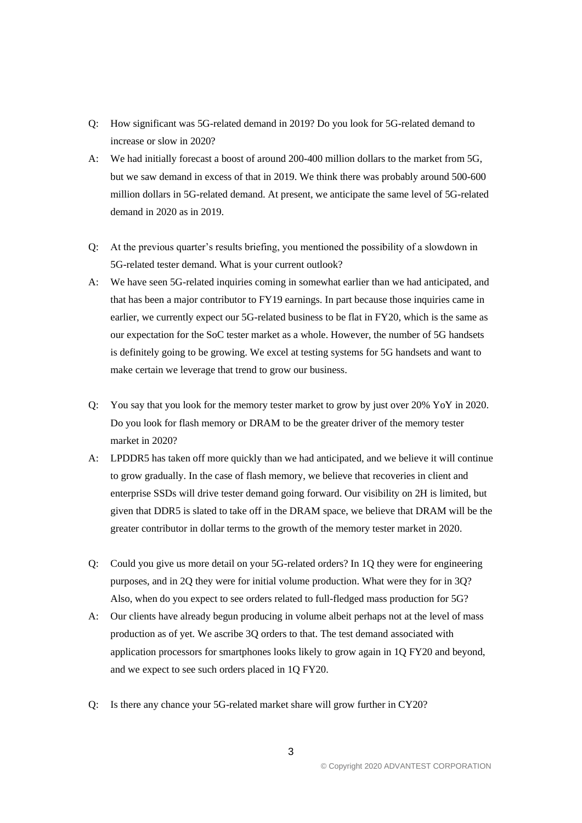- Q: How significant was 5G-related demand in 2019? Do you look for 5G-related demand to increase or slow in 2020?
- A: We had initially forecast a boost of around 200-400 million dollars to the market from 5G, but we saw demand in excess of that in 2019. We think there was probably around 500-600 million dollars in 5G-related demand. At present, we anticipate the same level of 5G-related demand in 2020 as in 2019.
- Q: At the previous quarter's results briefing, you mentioned the possibility of a slowdown in 5G-related tester demand. What is your current outlook?
- A: We have seen 5G-related inquiries coming in somewhat earlier than we had anticipated, and that has been a major contributor to FY19 earnings. In part because those inquiries came in earlier, we currently expect our 5G-related business to be flat in FY20, which is the same as our expectation for the SoC tester market as a whole. However, the number of 5G handsets is definitely going to be growing. We excel at testing systems for 5G handsets and want to make certain we leverage that trend to grow our business.
- Q: You say that you look for the memory tester market to grow by just over 20% YoY in 2020. Do you look for flash memory or DRAM to be the greater driver of the memory tester market in 2020?
- A: LPDDR5 has taken off more quickly than we had anticipated, and we believe it will continue to grow gradually. In the case of flash memory, we believe that recoveries in client and enterprise SSDs will drive tester demand going forward. Our visibility on 2H is limited, but given that DDR5 is slated to take off in the DRAM space, we believe that DRAM will be the greater contributor in dollar terms to the growth of the memory tester market in 2020.
- Q: Could you give us more detail on your 5G-related orders? In 1Q they were for engineering purposes, and in 2Q they were for initial volume production. What were they for in 3Q? Also, when do you expect to see orders related to full-fledged mass production for 5G?
- A: Our clients have already begun producing in volume albeit perhaps not at the level of mass production as of yet. We ascribe 3Q orders to that. The test demand associated with application processors for smartphones looks likely to grow again in 1Q FY20 and beyond, and we expect to see such orders placed in 1Q FY20.
- Q: Is there any chance your 5G-related market share will grow further in CY20?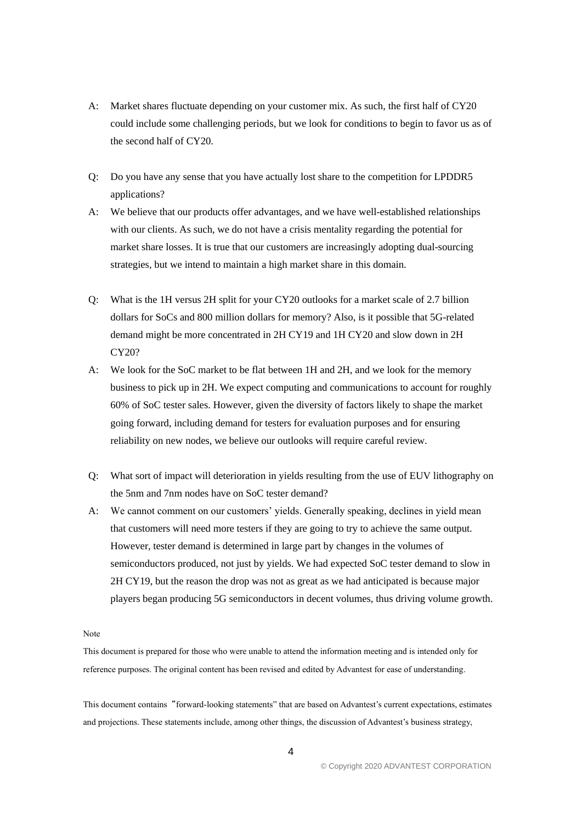- A: Market shares fluctuate depending on your customer mix. As such, the first half of CY20 could include some challenging periods, but we look for conditions to begin to favor us as of the second half of CY20.
- Q: Do you have any sense that you have actually lost share to the competition for LPDDR5 applications?
- A: We believe that our products offer advantages, and we have well-established relationships with our clients. As such, we do not have a crisis mentality regarding the potential for market share losses. It is true that our customers are increasingly adopting dual-sourcing strategies, but we intend to maintain a high market share in this domain.
- Q: What is the 1H versus 2H split for your CY20 outlooks for a market scale of 2.7 billion dollars for SoCs and 800 million dollars for memory? Also, is it possible that 5G-related demand might be more concentrated in 2H CY19 and 1H CY20 and slow down in 2H CY20?
- A: We look for the SoC market to be flat between 1H and 2H, and we look for the memory business to pick up in 2H. We expect computing and communications to account for roughly 60% of SoC tester sales. However, given the diversity of factors likely to shape the market going forward, including demand for testers for evaluation purposes and for ensuring reliability on new nodes, we believe our outlooks will require careful review.
- Q: What sort of impact will deterioration in yields resulting from the use of EUV lithography on the 5nm and 7nm nodes have on SoC tester demand?
- A: We cannot comment on our customers' yields. Generally speaking, declines in yield mean that customers will need more testers if they are going to try to achieve the same output. However, tester demand is determined in large part by changes in the volumes of semiconductors produced, not just by yields. We had expected SoC tester demand to slow in 2H CY19, but the reason the drop was not as great as we had anticipated is because major players began producing 5G semiconductors in decent volumes, thus driving volume growth.

Note

This document is prepared for those who were unable to attend the information meeting and is intended only for reference purposes. The original content has been revised and edited by Advantest for ease of understanding.

This document contains"forward-looking statements" that are based on Advantest's current expectations, estimates and projections. These statements include, among other things, the discussion of Advantest's business strategy,